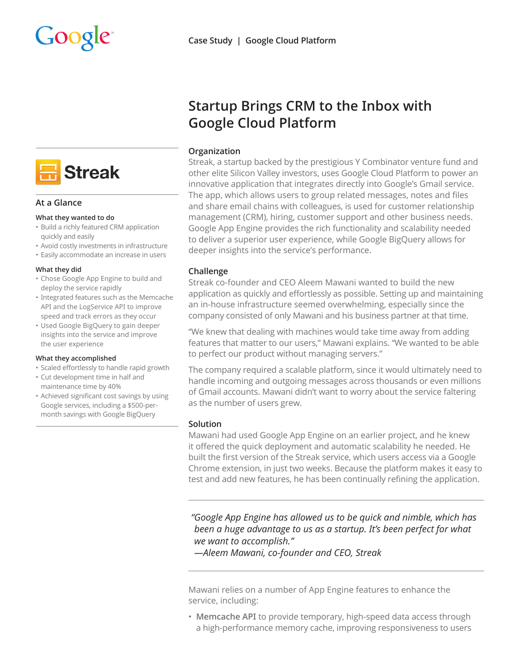



## **At a Glance**

#### **What they wanted to do**

- Build a richly featured CRM application quickly and easily
- Avoid costly investments in infrastructure
- Easily accommodate an increase in users

#### **What they did**

- Chose Google App Engine to build and deploy the service rapidly
- Integrated features such as the Memcache API and the LogService API to improve speed and track errors as they occur
- Used Google BigQuery to gain deeper insights into the service and improve the user experience

#### **What they accomplished**

- Scaled effortlessly to handle rapid growth
- Cut development time in half and maintenance time by 40%
- Achieved significant cost savings by using Google services, including a \$500-permonth savings with Google BigQuery

# **Startup Brings CRM to the Inbox with Google Cloud Platform**

## **Organization**

Streak, a startup backed by the prestigious Y Combinator venture fund and other elite Silicon Valley investors, uses Google Cloud Platform to power an innovative application that integrates directly into Google's Gmail service. The app, which allows users to group related messages, notes and files and share email chains with colleagues, is used for customer relationship management (CRM), hiring, customer support and other business needs. Google App Engine provides the rich functionality and scalability needed to deliver a superior user experience, while Google BigQuery allows for deeper insights into the service's performance.

## **Challenge**

Streak co-founder and CEO Aleem Mawani wanted to build the new application as quickly and effortlessly as possible. Setting up and maintaining an in-house infrastructure seemed overwhelming, especially since the company consisted of only Mawani and his business partner at that time.

"We knew that dealing with machines would take time away from adding features that matter to our users," Mawani explains. "We wanted to be able to perfect our product without managing servers."

The company required a scalable platform, since it would ultimately need to handle incoming and outgoing messages across thousands or even millions of Gmail accounts. Mawani didn't want to worry about the service faltering as the number of users grew.

# **Solution**

Mawani had used Google App Engine on an earlier project, and he knew it offered the quick deployment and automatic scalability he needed. He built the first version of the Streak service, which users access via a Google Chrome extension, in just two weeks. Because the platform makes it easy to test and add new features, he has been continually refining the application.

*"Google App Engine has allowed us to be quick and nimble, which has been a huge advantage to us as a startup. It's been perfect for what we want to accomplish."*

*—Aleem Mawani, co-founder and CEO, Streak*

Mawani relies on a number of App Engine features to enhance the service, including:

• **Memcache API** to provide temporary, high-speed data access through a high-performance memory cache, improving responsiveness to users